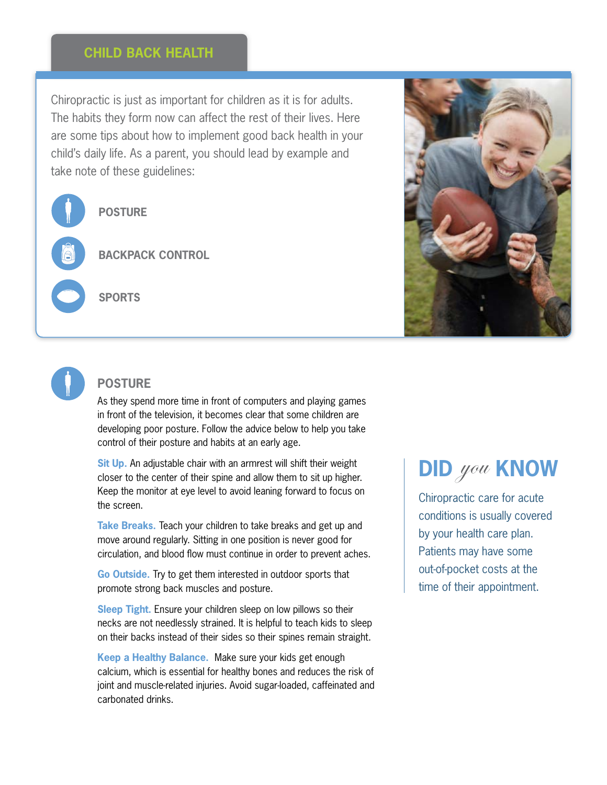### **Child Back Health**

Chiropractic is just as important for children as it is for adults. The habits they form now can affect the rest of their lives. Here are some tips about how to implement good back health in your child's daily life. As a parent, you should lead by example and take note of these guidelines:

**Posture**

**Backpack Control**

**Sports**





### **POSTURE**

As they spend more time in front of computers and playing games in front of the television, it becomes clear that some children are developing poor posture. Follow the advice below to help you take control of their posture and habits at an early age.

**Sit Up.** An adjustable chair with an armrest will shift their weight closer to the center of their spine and allow them to sit up higher. Keep the monitor at eye level to avoid leaning forward to focus on the screen.

**Take Breaks.** Teach your children to take breaks and get up and move around regularly. Sitting in one position is never good for circulation, and blood flow must continue in order to prevent aches.

**Go Outside.** Try to get them interested in outdoor sports that promote strong back muscles and posture.

**Sleep Tight.** Ensure your children sleep on low pillows so their necks are not needlessly strained. It is helpful to teach kids to sleep on their backs instead of their sides so their spines remain straight.

**Keep a Healthy Balance.** Make sure your kids get enough calcium, which is essential for healthy bones and reduces the risk of joint and muscle-related injuries. Avoid sugar-loaded, caffeinated and carbonated drinks.

# **did** you **KNOW**

Chiropractic care for acute conditions is usually covered by your health care plan. Patients may have some out-of-pocket costs at the time of their appointment.